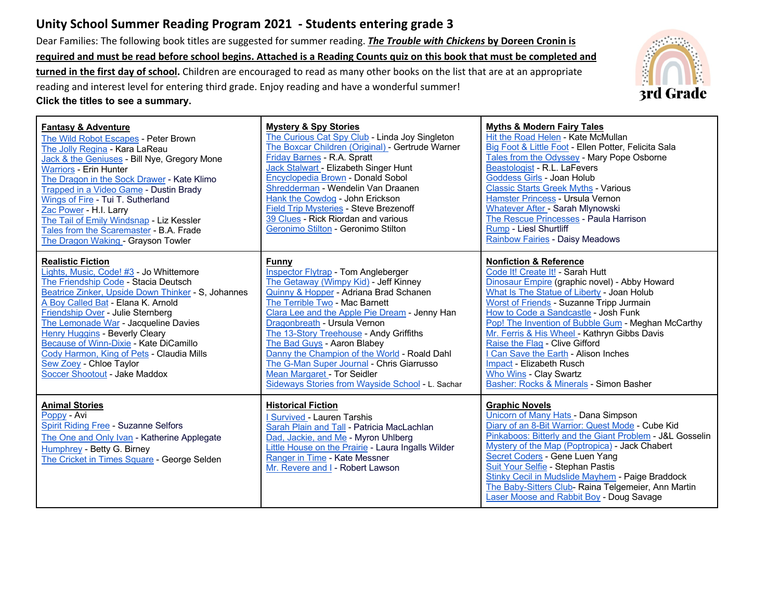# **Unity School Summer Reading Program 2021 - Students entering grade 3**

Dear Families: The following book titles are suggested for summer reading. *The Trouble with Chickens* **by Doreen Cronin is required and must be read before school begins. Attached is a Reading Counts quiz on this book that must be completed and turned in the first day of school.** Children are encouraged to read as many other books on the list that are at an appropriate reading and interest level for entering third grade. Enjoy reading and have a wonderful summer! **Click the titles to see a summary.**



| <b>Fantasy &amp; Adventure</b><br>The Wild Robot Escapes - Peter Brown<br>The Jolly Regina - Kara LaReau<br>Jack & the Geniuses - Bill Nye, Gregory Mone<br><b>Warriors - Erin Hunter</b><br>The Dragon in the Sock Drawer - Kate Klimo<br>Trapped in a Video Game - Dustin Brady<br>Wings of Fire - Tui T. Sutherland<br>Zac Power - H.I. Larry<br>The Tail of Emily Windsnap - Liz Kessler<br>Tales from the Scaremaster - B.A. Frade<br>The Dragon Waking - Grayson Towler    | <b>Mystery &amp; Spy Stories</b><br>The Curious Cat Spy Club - Linda Joy Singleton<br>The Boxcar Children (Original) - Gertrude Warner<br>Friday Barnes - R.A. Spratt<br>Jack Stalwart - Elizabeth Singer Hunt<br>Encyclopedia Brown - Donald Sobol<br>Shredderman - Wendelin Van Draanen<br>Hank the Cowdog - John Erickson<br><b>Field Trip Mysteries - Steve Brezenoff</b><br>39 Clues - Rick Riordan and various<br>Geronimo Stilton - Geronimo Stilton                                                                       | <b>Myths &amp; Modern Fairy Tales</b><br>Hit the Road Helen - Kate McMullan<br>Big Foot & Little Foot - Ellen Potter, Felicita Sala<br>Tales from the Odyssey - Mary Pope Osborne<br>Beastologist - R.L. LaFevers<br>Goddess Girls - Joan Holub<br><b>Classic Starts Greek Myths - Various</b><br>Hamster Princess - Ursula Vernon<br>Whatever After - Sarah Mlynowski<br>The Rescue Princesses - Paula Harrison<br>Rump - Liesl Shurtliff<br><b>Rainbow Fairies - Daisy Meadows</b>                                                           |
|----------------------------------------------------------------------------------------------------------------------------------------------------------------------------------------------------------------------------------------------------------------------------------------------------------------------------------------------------------------------------------------------------------------------------------------------------------------------------------|-----------------------------------------------------------------------------------------------------------------------------------------------------------------------------------------------------------------------------------------------------------------------------------------------------------------------------------------------------------------------------------------------------------------------------------------------------------------------------------------------------------------------------------|------------------------------------------------------------------------------------------------------------------------------------------------------------------------------------------------------------------------------------------------------------------------------------------------------------------------------------------------------------------------------------------------------------------------------------------------------------------------------------------------------------------------------------------------|
| <b>Realistic Fiction</b><br>Lights, Music, Code! #3 - Jo Whittemore<br>The Friendship Code - Stacia Deutsch<br>Beatrice Zinker, Upside Down Thinker - S, Johannes<br>A Boy Called Bat - Elana K. Arnold<br>Friendship Over - Julie Sternberg<br>The Lemonade War - Jacqueline Davies<br>Henry Huggins - Beverly Cleary<br><b>Because of Winn-Dixie - Kate DiCamillo</b><br>Cody Harmon, King of Pets - Claudia Mills<br>Sew Zoey - Chloe Taylor<br>Soccer Shootout - Jake Maddox | <b>Funny</b><br><b>Inspector Flytrap - Tom Angleberger</b><br>The Getaway (Wimpy Kid) - Jeff Kinney<br>Quinny & Hopper - Adriana Brad Schanen<br>The Terrible Two - Mac Barnett<br>Clara Lee and the Apple Pie Dream - Jenny Han<br>Dragonbreath - Ursula Vernon<br>The 13-Story Treehouse - Andy Griffiths<br>The Bad Guys - Aaron Blabey<br>Danny the Champion of the World - Roald Dahl<br>The G-Man Super Journal - Chris Giarrusso<br><b>Mean Margaret - Tor Seidler</b><br>Sideways Stories from Wayside School - L. Sachar | <b>Nonfiction &amp; Reference</b><br>Code It! Create It! - Sarah Hutt<br>Dinosaur Empire (graphic novel) - Abby Howard<br>What Is The Statue of Liberty - Joan Holub<br>Worst of Friends - Suzanne Tripp Jurmain<br>How to Code a Sandcastle - Josh Funk<br>Pop! The Invention of Bubble Gum - Meghan McCarthy<br>Mr. Ferris & His Wheel - Kathryn Gibbs Davis<br>Raise the Flag - Clive Gifford<br>Can Save the Earth - Alison Inches<br>Impact - Elizabeth Rusch<br><b>Who Wins - Clay Swartz</b><br>Basher: Rocks & Minerals - Simon Basher |
| <b>Animal Stories</b><br>Poppy - Avi<br><b>Spirit Riding Free - Suzanne Selfors</b><br>The One and Only Ivan - Katherine Applegate<br>Humphrey - Betty G. Birney<br>The Cricket in Times Square - George Selden                                                                                                                                                                                                                                                                  | <b>Historical Fiction</b><br>I Survived - Lauren Tarshis<br>Sarah Plain and Tall - Patricia MacLachlan<br>Dad, Jackie, and Me - Myron Uhlberg<br><b>Little House on the Prairie - Laura Ingalls Wilder</b><br>Ranger in Time - Kate Messner<br>Mr. Revere and I - Robert Lawson                                                                                                                                                                                                                                                   | <b>Graphic Novels</b><br>Unicorn of Many Hats - Dana Simpson<br>Diary of an 8-Bit Warrior: Quest Mode - Cube Kid<br>Pinkaboos: Bitterly and the Giant Problem - J&L Gosselin<br>Mystery of the Map (Poptropica) - Jack Chabert<br>Secret Coders - Gene Luen Yang<br>Suit Your Selfie - Stephan Pastis<br><b>Stinky Cecil in Mudslide Mayhem - Paige Braddock</b><br>The Baby-Sitters Club- Raina Telgemeier, Ann Martin<br><b>Laser Moose and Rabbit Boy - Doug Savage</b>                                                                     |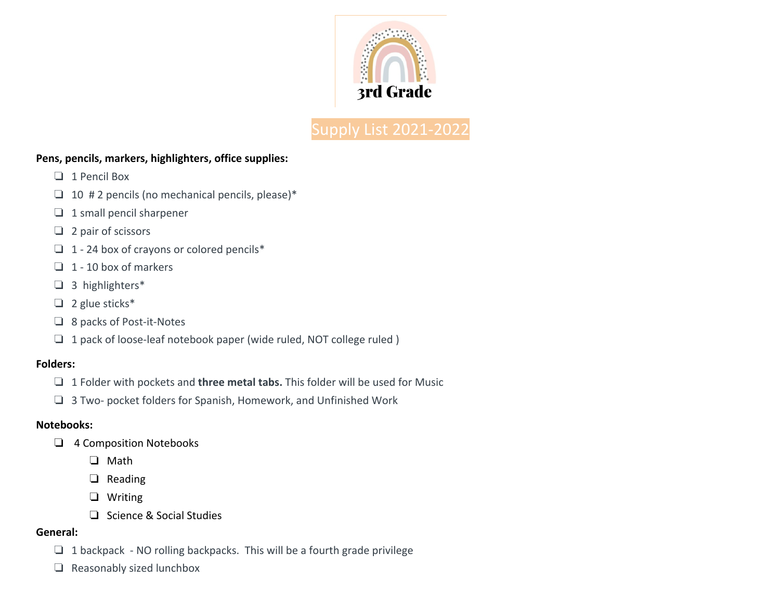

# Supply List 2021-2022

#### **Pens, pencils, markers, highlighters, office supplies:**

- ❏ 1 Pencil Box
- $\Box$  10 # 2 pencils (no mechanical pencils, please)\*
- ❏ 1 small pencil sharpener
- ❏ 2 pair of scissors
- ❏ 1 24 box of crayons or colored pencils\*
- $\Box$  1 10 box of markers
- ❏ 3 highlighters\*
- ❏ 2 glue sticks\*
- ❏ 8 packs of Post-it-Notes
- ❏ 1 pack of loose-leaf notebook paper (wide ruled, NOT college ruled )

#### **Folders:**

- ❏ 1 Folder with pockets and **three metal tabs.** This folder will be used for Music
- ❏ 3 Two- pocket folders for Spanish, Homework, and Unfinished Work

## **Notebooks:**

- ❏ 4 Composition Notebooks
	- ❏ Math
	- ❏ Reading
	- ❏ Writing
	- ❏ Science & Social Studies

## **General:**

- $\Box$  1 backpack NO rolling backpacks. This will be a fourth grade privilege
- ❏ Reasonably sized lunchbox